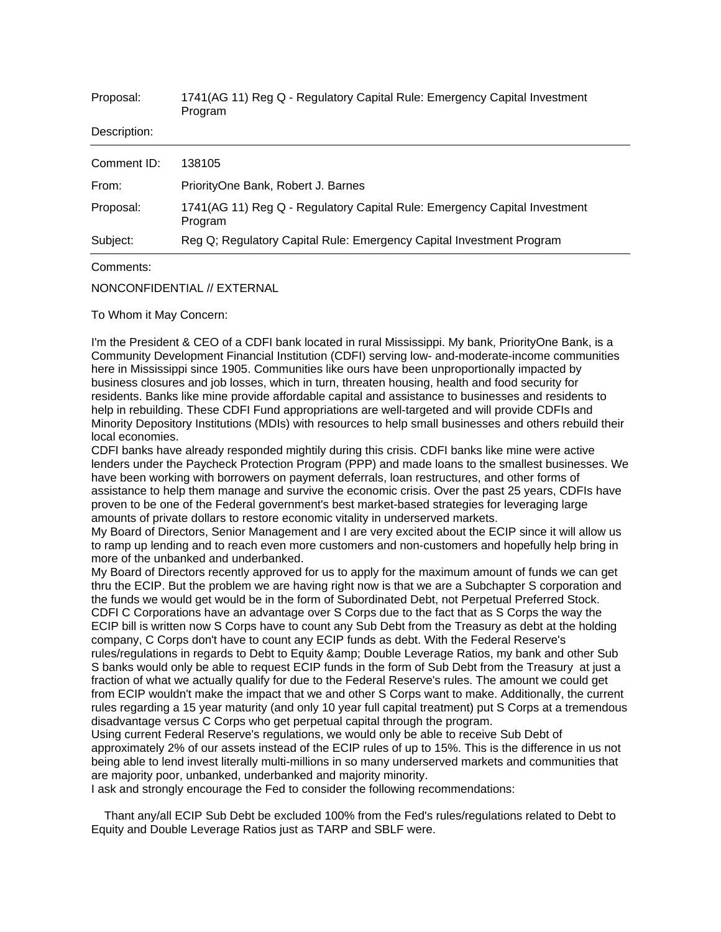| 1741(AG 11) Reg Q - Regulatory Capital Rule: Emergency Capital Investment<br>Program |
|--------------------------------------------------------------------------------------|
|                                                                                      |
| 138105                                                                               |
| PriorityOne Bank, Robert J. Barnes                                                   |
| 1741(AG 11) Reg Q - Regulatory Capital Rule: Emergency Capital Investment<br>Program |
| Reg Q; Regulatory Capital Rule: Emergency Capital Investment Program                 |
|                                                                                      |

Comments:

NONCONFIDENTIAL // EXTERNAL

To Whom it May Concern:

I'm the President & CEO of a CDFI bank located in rural Mississippi. My bank, PriorityOne Bank, is a Community Development Financial Institution (CDFI) serving low- and-moderate-income communities here in Mississippi since 1905. Communities like ours have been unproportionally impacted by business closures and job losses, which in turn, threaten housing, health and food security for residents. Banks like mine provide affordable capital and assistance to businesses and residents to help in rebuilding. These CDFI Fund appropriations are well-targeted and will provide CDFIs and Minority Depository Institutions (MDIs) with resources to help small businesses and others rebuild their local economies.

CDFI banks have already responded mightily during this crisis. CDFI banks like mine were active lenders under the Paycheck Protection Program (PPP) and made loans to the smallest businesses. We have been working with borrowers on payment deferrals, loan restructures, and other forms of assistance to help them manage and survive the economic crisis. Over the past 25 years, CDFIs have proven to be one of the Federal government's best market-based strategies for leveraging large amounts of private dollars to restore economic vitality in underserved markets.

My Board of Directors, Senior Management and I are very excited about the ECIP since it will allow us to ramp up lending and to reach even more customers and non-customers and hopefully help bring in more of the unbanked and underbanked.

My Board of Directors recently approved for us to apply for the maximum amount of funds we can get thru the ECIP. But the problem we are having right now is that we are a Subchapter S corporation and the funds we would get would be in the form of Subordinated Debt, not Perpetual Preferred Stock. CDFI C Corporations have an advantage over S Corps due to the fact that as S Corps the way the ECIP bill is written now S Corps have to count any Sub Debt from the Treasury as debt at the holding company, C Corps don't have to count any ECIP funds as debt. With the Federal Reserve's rules/regulations in regards to Debt to Equity & amp; Double Leverage Ratios, my bank and other Sub S banks would only be able to request ECIP funds in the form of Sub Debt from the Treasury at just a fraction of what we actually qualify for due to the Federal Reserve's rules. The amount we could get from ECIP wouldn't make the impact that we and other S Corps want to make. Additionally, the current rules regarding a 15 year maturity (and only 10 year full capital treatment) put S Corps at a tremendous disadvantage versus C Corps who get perpetual capital through the program.

Using current Federal Reserve's regulations, we would only be able to receive Sub Debt of approximately 2% of our assets instead of the ECIP rules of up to 15%. This is the difference in us not being able to lend invest literally multi-millions in so many underserved markets and communities that are majority poor, unbanked, underbanked and majority minority.

I ask and strongly encourage the Fed to consider the following recommendations:

 Thant any/all ECIP Sub Debt be excluded 100% from the Fed's rules/regulations related to Debt to Equity and Double Leverage Ratios just as TARP and SBLF were.